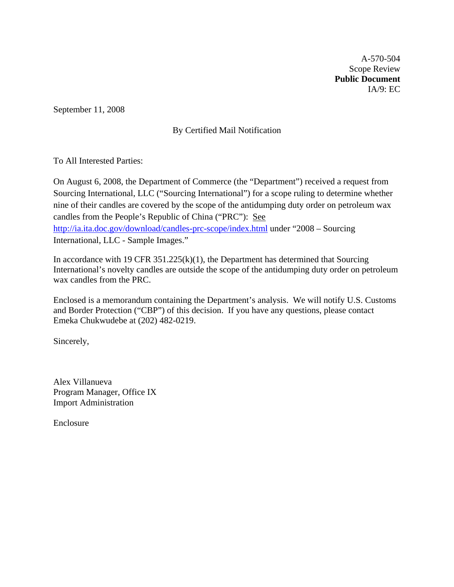A-570-504 Scope Review **Public Document**  IA/9: EC

September 11, 2008

# By Certified Mail Notification

To All Interested Parties:

On August 6, 2008, the Department of Commerce (the "Department") received a request from Sourcing International, LLC ("Sourcing International") for a scope ruling to determine whether nine of their candles are covered by the scope of the antidumping duty order on petroleum wax candles from the People's Republic of China ("PRC"): See <http://ia.ita.doc.gov/download/candles-prc-scope/index.html> under "2008 – Sourcing International, LLC - Sample Images."

In accordance with 19 CFR  $351.225(k)(1)$ , the Department has determined that Sourcing International's novelty candles are outside the scope of the antidumping duty order on petroleum wax candles from the PRC.

Enclosed is a memorandum containing the Department's analysis. We will notify U.S. Customs and Border Protection ("CBP") of this decision. If you have any questions, please contact Emeka Chukwudebe at (202) 482-0219.

Sincerely,

Alex Villanueva Program Manager, Office IX Import Administration

Enclosure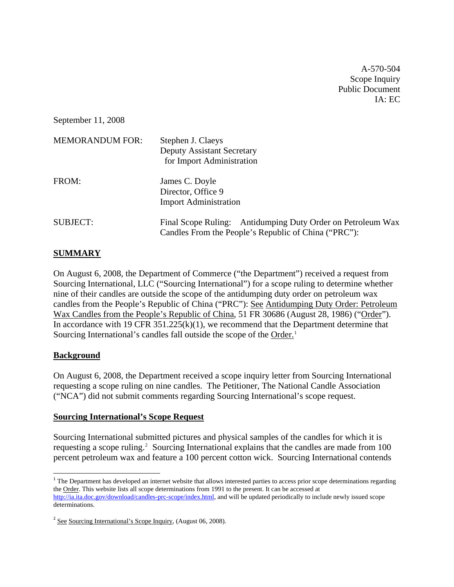A-570-504 Scope Inquiry Public Document  $IA:$  EC.

September 11, 2008

| <b>MEMORANDUM FOR:</b> | Stephen J. Claeys<br><b>Deputy Assistant Secretary</b><br>for Import Administration                                 |
|------------------------|---------------------------------------------------------------------------------------------------------------------|
| FROM:                  | James C. Doyle<br>Director, Office 9<br><b>Import Administration</b>                                                |
| <b>SUBJECT:</b>        | Final Scope Ruling: Antidumping Duty Order on Petroleum Wax<br>Candles From the People's Republic of China ("PRC"): |

# **SUMMARY**

On August 6, 2008, the Department of Commerce ("the Department") received a request from Sourcing International, LLC ("Sourcing International") for a scope ruling to determine whether nine of their candles are outside the scope of the antidumping duty order on petroleum wax candles from the People's Republic of China ("PRC"): See Antidumping Duty Order: Petroleum Wax Candles from the People's Republic of China, 51 FR 30686 (August 28, 1986) ("Order"). In accordance with 19 CFR  $351.225(k)(1)$ , we recommend that the Department determine that Sourcing International's candles fall outside the scope of the Order.<sup>[1](#page-1-0)</sup>

# **Background**

On August 6, 2008, the Department received a scope inquiry letter from Sourcing International requesting a scope ruling on nine candles. The Petitioner, The National Candle Association ("NCA") did not submit comments regarding Sourcing International's scope request.

#### **Sourcing International's Scope Request**

Sourcing International submitted pictures and physical samples of the candles for which it is requesting a scope ruling.<sup>[2](#page-1-1)</sup> Sourcing International explains that the candles are made from 100 percent petroleum wax and feature a 100 percent cotton wick. Sourcing International contends

<span id="page-1-0"></span><sup>&</sup>lt;sup>1</sup> The Department has developed an internet website that allows interested parties to access prior scope determinations regarding the Order. This website lists all scope determinations from 1991 to the present. It can be accessed at [http://ia.ita.doc.gov/download/candles-prc-scope/index.html,](http://ia.ita.doc.gov/download/candles-prc-scope/index.html) and will be updated periodically to include newly issued scope determinations.

<span id="page-1-1"></span><sup>2</sup> See Sourcing International's Scope Inquiry, (August 06, 2008).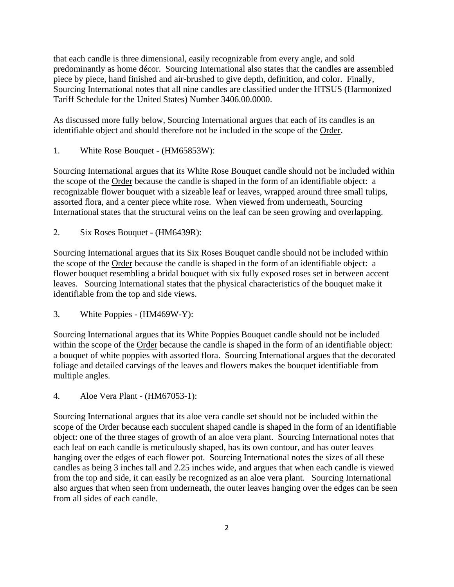that each candle is three dimensional, easily recognizable from every angle, and sold predominantly as home décor. Sourcing International also states that the candles are assembled piece by piece, hand finished and air-brushed to give depth, definition, and color. Finally, Sourcing International notes that all nine candles are classified under the HTSUS (Harmonized Tariff Schedule for the United States) Number 3406.00.0000.

As discussed more fully below, Sourcing International argues that each of its candles is an identifiable object and should therefore not be included in the scope of the Order.

1. White Rose Bouquet - (HM65853W):

Sourcing International argues that its White Rose Bouquet candle should not be included within the scope of the Order because the candle is shaped in the form of an identifiable object: a recognizable flower bouquet with a sizeable leaf or leaves, wrapped around three small tulips, assorted flora, and a center piece white rose. When viewed from underneath, Sourcing International states that the structural veins on the leaf can be seen growing and overlapping.

2. Six Roses Bouquet - (HM6439R):

Sourcing International argues that its Six Roses Bouquet candle should not be included within the scope of the Order because the candle is shaped in the form of an identifiable object: a flower bouquet resembling a bridal bouquet with six fully exposed roses set in between accent leaves. Sourcing International states that the physical characteristics of the bouquet make it identifiable from the top and side views.

3. White Poppies - (HM469W-Y):

Sourcing International argues that its White Poppies Bouquet candle should not be included within the scope of the Order because the candle is shaped in the form of an identifiable object: a bouquet of white poppies with assorted flora. Sourcing International argues that the decorated foliage and detailed carvings of the leaves and flowers makes the bouquet identifiable from multiple angles.

4. Aloe Vera Plant - (HM67053-1):

Sourcing International argues that its aloe vera candle set should not be included within the scope of the Order because each succulent shaped candle is shaped in the form of an identifiable object: one of the three stages of growth of an aloe vera plant. Sourcing International notes that each leaf on each candle is meticulously shaped, has its own contour, and has outer leaves hanging over the edges of each flower pot. Sourcing International notes the sizes of all these candles as being 3 inches tall and 2.25 inches wide, and argues that when each candle is viewed from the top and side, it can easily be recognized as an aloe vera plant. Sourcing International also argues that when seen from underneath, the outer leaves hanging over the edges can be seen from all sides of each candle.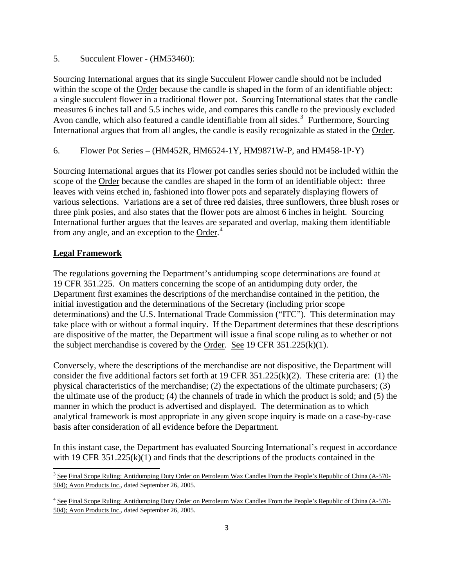5. Succulent Flower - (HM53460):

Sourcing International argues that its single Succulent Flower candle should not be included within the scope of the Order because the candle is shaped in the form of an identifiable object: a single succulent flower in a traditional flower pot. Sourcing International states that the candle measures 6 inches tall and 5.5 inches wide, and compares this candle to the previously excluded Avon candle, which also featured a candle identifiable from all sides.<sup>[3](#page-3-0)</sup> Furthermore, Sourcing International argues that from all angles, the candle is easily recognizable as stated in the Order.

6. Flower Pot Series – (HM452R, HM6524-1Y, HM9871W-P, and HM458-1P-Y)

Sourcing International argues that its Flower pot candles series should not be included within the scope of the Order because the candles are shaped in the form of an identifiable object: three leaves with veins etched in, fashioned into flower pots and separately displaying flowers of various selections. Variations are a set of three red daisies, three sunflowers, three blush roses or three pink posies, and also states that the flower pots are almost 6 inches in height. Sourcing International further argues that the leaves are separated and overlap, making them identifiable from any angle, and an exception to the Order.<sup>[4](#page-3-1)</sup>

# **Legal Framework**

The regulations governing the Department's antidumping scope determinations are found at 19 CFR 351.225. On matters concerning the scope of an antidumping duty order, the Department first examines the descriptions of the merchandise contained in the petition, the initial investigation and the determinations of the Secretary (including prior scope determinations) and the U.S. International Trade Commission ("ITC"). This determination may take place with or without a formal inquiry. If the Department determines that these descriptions are dispositive of the matter, the Department will issue a final scope ruling as to whether or not the subject merchandise is covered by the Order. See 19 CFR 351.225(k)(1).

Conversely, where the descriptions of the merchandise are not dispositive, the Department will consider the five additional factors set forth at 19 CFR 351.225(k)(2). These criteria are: (1) the physical characteristics of the merchandise; (2) the expectations of the ultimate purchasers; (3) the ultimate use of the product; (4) the channels of trade in which the product is sold; and (5) the manner in which the product is advertised and displayed. The determination as to which analytical framework is most appropriate in any given scope inquiry is made on a case-by-case basis after consideration of all evidence before the Department.

In this instant case, the Department has evaluated Sourcing International's request in accordance with 19 CFR 351.225(k)(1) and finds that the descriptions of the products contained in the

<span id="page-3-0"></span><sup>&</sup>lt;sup>3</sup> See Final Scope Ruling: Antidumping Duty Order on Petroleum Wax Candles From the People's Republic of China (A-570-504); Avon Products Inc., dated September 26, 2005.

<span id="page-3-1"></span><sup>&</sup>lt;sup>4</sup> See Final Scope Ruling: Antidumping Duty Order on Petroleum Wax Candles From the People's Republic of China (A-570-504); Avon Products Inc., dated September 26, 2005.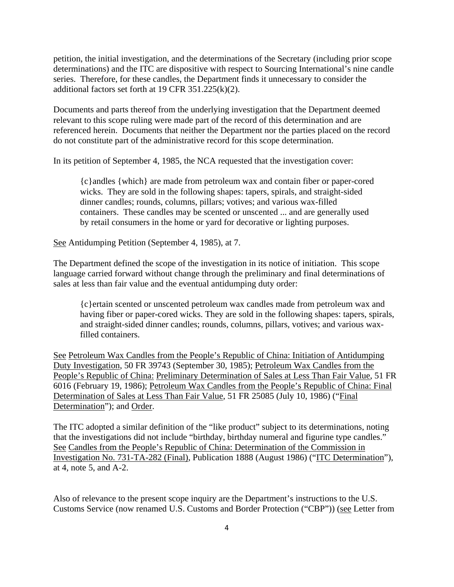petition, the initial investigation, and the determinations of the Secretary (including prior scope determinations) and the ITC are dispositive with respect to Sourcing International's nine candle series. Therefore, for these candles, the Department finds it unnecessary to consider the additional factors set forth at 19 CFR 351.225(k)(2).

Documents and parts thereof from the underlying investigation that the Department deemed relevant to this scope ruling were made part of the record of this determination and are referenced herein. Documents that neither the Department nor the parties placed on the record do not constitute part of the administrative record for this scope determination.

In its petition of September 4, 1985, the NCA requested that the investigation cover:

{c}andles {which} are made from petroleum wax and contain fiber or paper-cored wicks. They are sold in the following shapes: tapers, spirals, and straight-sided dinner candles; rounds, columns, pillars; votives; and various wax-filled containers. These candles may be scented or unscented ... and are generally used by retail consumers in the home or yard for decorative or lighting purposes.

See Antidumping Petition (September 4, 1985), at 7.

The Department defined the scope of the investigation in its notice of initiation. This scope language carried forward without change through the preliminary and final determinations of sales at less than fair value and the eventual antidumping duty order:

{c}ertain scented or unscented petroleum wax candles made from petroleum wax and having fiber or paper-cored wicks. They are sold in the following shapes: tapers, spirals, and straight-sided dinner candles; rounds, columns, pillars, votives; and various waxfilled containers.

See Petroleum Wax Candles from the People's Republic of China: Initiation of Antidumping Duty Investigation, 50 FR 39743 (September 30, 1985); Petroleum Wax Candles from the People's Republic of China: Preliminary Determination of Sales at Less Than Fair Value, 51 FR 6016 (February 19, 1986); Petroleum Wax Candles from the People's Republic of China: Final Determination of Sales at Less Than Fair Value, 51 FR 25085 (July 10, 1986) ("Final Determination"); and Order.

The ITC adopted a similar definition of the "like product" subject to its determinations, noting that the investigations did not include "birthday, birthday numeral and figurine type candles." See Candles from the People's Republic of China: Determination of the Commission in Investigation No. 731-TA-282 (Final), Publication 1888 (August 1986) ("ITC Determination"), at 4, note 5, and A-2.

Also of relevance to the present scope inquiry are the Department's instructions to the U.S. Customs Service (now renamed U.S. Customs and Border Protection ("CBP")) (see Letter from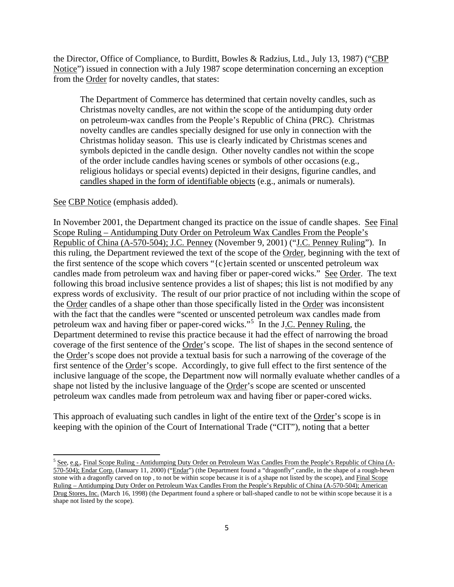the Director, Office of Compliance, to Burditt, Bowles & Radzius, Ltd., July 13, 1987) ("CBP Notice") issued in connection with a July 1987 scope determination concerning an exception from the Order for novelty candles, that states:

The Department of Commerce has determined that certain novelty candles, such as Christmas novelty candles, are not within the scope of the antidumping duty order on petroleum-wax candles from the People's Republic of China (PRC). Christmas novelty candles are candles specially designed for use only in connection with the Christmas holiday season. This use is clearly indicated by Christmas scenes and symbols depicted in the candle design. Other novelty candles not within the scope of the order include candles having scenes or symbols of other occasions (e.g., religious holidays or special events) depicted in their designs, figurine candles, and candles shaped in the form of identifiable objects (e.g., animals or numerals).

#### See CBP Notice (emphasis added).

In November 2001, the Department changed its practice on the issue of candle shapes. See Final Scope Ruling – Antidumping Duty Order on Petroleum Wax Candles From the People's Republic of China (A-570-504); J.C. Penney (November 9, 2001) ("J.C. Penney Ruling"). In this ruling, the Department reviewed the text of the scope of the Order, beginning with the text of the first sentence of the scope which covers "{c}ertain scented or unscented petroleum wax candles made from petroleum wax and having fiber or paper-cored wicks." See Order. The text following this broad inclusive sentence provides a list of shapes; this list is not modified by any express words of exclusivity. The result of our prior practice of not including within the scope of the Order candles of a shape other than those specifically listed in the Order was inconsistent with the fact that the candles were "scented or unscented petroleum wax candles made from petroleum wax and having fiber or paper-cored wicks."<sup>[5](#page-5-0)</sup> In the J.C. Penney Ruling, the Department determined to revise this practice because it had the effect of narrowing the broad coverage of the first sentence of the Order's scope. The list of shapes in the second sentence of the Order's scope does not provide a textual basis for such a narrowing of the coverage of the first sentence of the Order's scope. Accordingly, to give full effect to the first sentence of the inclusive language of the scope, the Department now will normally evaluate whether candles of a shape not listed by the inclusive language of the Order's scope are scented or unscented petroleum wax candles made from petroleum wax and having fiber or paper-cored wicks.

This approach of evaluating such candles in light of the entire text of the Order's scope is in keeping with the opinion of the Court of International Trade ("CIT"), noting that a better

<span id="page-5-0"></span> $5$  See, e.g., Final Scope Ruling - Antidumping Duty Order on Petroleum Wax Candles From the People's Republic of China ( $A_2$ ) 570-504); Endar Corp. (January 11, 2000) ("Endar") (the Department found a "dragonfly" candle, in the shape of a rough-hewn stone with a dragonfly carved on top , to not be within scope because it is of a shape not listed by the scope), and Final Scope Ruling – Antidumping Duty Order on Petroleum Wax Candles From the People's Republic of China (A-570-504); American Drug Stores, Inc. (March 16, 1998) (the Department found a sphere or ball-shaped candle to not be within scope because it is a shape not listed by the scope).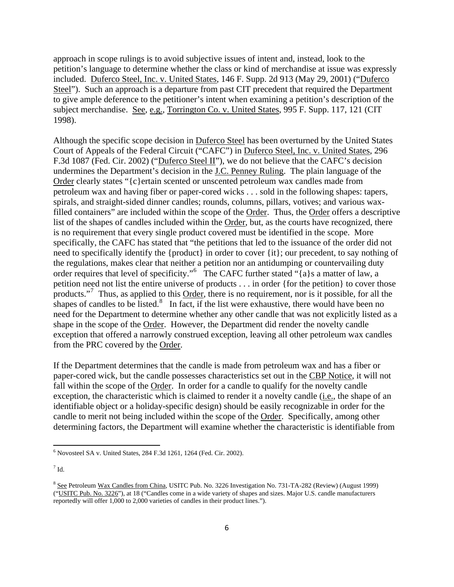approach in scope rulings is to avoid subjective issues of intent and, instead, look to the petition's language to determine whether the class or kind of merchandise at issue was expressly included. Duferco Steel, Inc. v. United States, 146 F. Supp. 2d 913 (May 29, 2001) ("Duferco Steel"). Such an approach is a departure from past CIT precedent that required the Department to give ample deference to the petitioner's intent when examining a petition's description of the subject merchandise. See, e.g., Torrington Co. v. United States, 995 F. Supp. 117, 121 (CIT 1998).

Although the specific scope decision in Duferco Steel has been overturned by the United States Court of Appeals of the Federal Circuit ("CAFC") in Duferco Steel, Inc. v. United States, 296 F.3d 1087 (Fed. Cir. 2002) ("Duferco Steel II"), we do not believe that the CAFC's decision undermines the Department's decision in the J.C. Penney Ruling. The plain language of the Order clearly states "{c}ertain scented or unscented petroleum wax candles made from petroleum wax and having fiber or paper-cored wicks . . . sold in the following shapes: tapers, spirals, and straight-sided dinner candles; rounds, columns, pillars, votives; and various waxfilled containers" are included within the scope of the Order. Thus, the Order offers a descriptive list of the shapes of candles included within the Order, but, as the courts have recognized, there is no requirement that every single product covered must be identified in the scope. More specifically, the CAFC has stated that "the petitions that led to the issuance of the order did not need to specifically identify the {product} in order to cover {it}; our precedent, to say nothing of the regulations, makes clear that neither a petition nor an antidumping or countervailing duty order requires that level of specificity."<sup>[6](#page-6-0)</sup> The CAFC further stated "{a}s a matter of law, a petition need not list the entire universe of products . . . in order {for the petition} to cover those products."<sup>[7](#page-6-1)</sup> Thus, as applied to this Order, there is no requirement, nor is it possible, for all the shapes of candles to be listed. $\frac{8}{10}$  $\frac{8}{10}$  $\frac{8}{10}$  In fact, if the list were exhaustive, there would have been no need for the Department to determine whether any other candle that was not explicitly listed as a shape in the scope of the Order. However, the Department did render the novelty candle exception that offered a narrowly construed exception, leaving all other petroleum wax candles from the PRC covered by the Order.

If the Department determines that the candle is made from petroleum wax and has a fiber or paper-cored wick, but the candle possesses characteristics set out in the CBP Notice, it will not fall within the scope of the Order. In order for a candle to qualify for the novelty candle exception, the characteristic which is claimed to render it a novelty candle (i.e., the shape of an identifiable object or a holiday-specific design) should be easily recognizable in order for the candle to merit not being included within the scope of the Order. Specifically, among other determining factors, the Department will examine whether the characteristic is identifiable from

<span id="page-6-0"></span><sup>6</sup> Novosteel SA v. United States, 284 F.3d 1261, 1264 (Fed. Cir. 2002).

<span id="page-6-1"></span> $^7$  Id.

<span id="page-6-2"></span><sup>&</sup>lt;sup>8</sup> See Petroleum Wax Candles from China, USITC Pub. No. 3226 Investigation No. 731-TA-282 (Review) (August 1999) ("USITC Pub. No. 3226"), at 18 ("Candles come in a wide variety of shapes and sizes. Major U.S. candle manufacturers reportedly will offer 1,000 to 2,000 varieties of candles in their product lines.").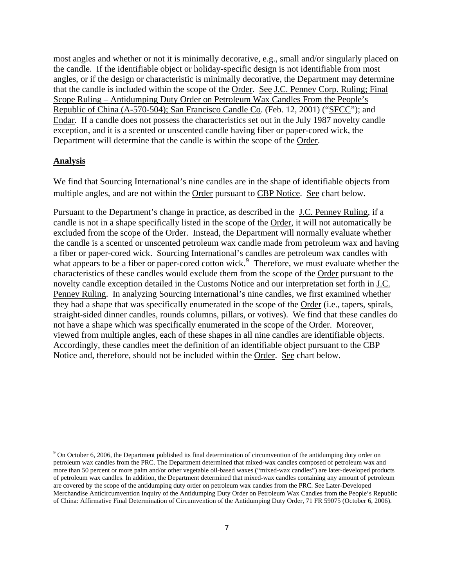most angles and whether or not it is minimally decorative, e.g., small and/or singularly placed on the candle. If the identifiable object or holiday-specific design is not identifiable from most angles, or if the design or characteristic is minimally decorative, the Department may determine that the candle is included within the scope of the Order. See J.C. Penney Corp. Ruling; Final Scope Ruling – Antidumping Duty Order on Petroleum Wax Candles From the People's Republic of China (A-570-504); San Francisco Candle Co. (Feb. 12, 2001) ("SFCC"); and Endar. If a candle does not possess the characteristics set out in the July 1987 novelty candle exception, and it is a scented or unscented candle having fiber or paper-cored wick, the Department will determine that the candle is within the scope of the Order.

#### **Analysis**

We find that Sourcing International's nine candles are in the shape of identifiable objects from multiple angles, and are not within the Order pursuant to CBP Notice. See chart below.

Pursuant to the Department's change in practice, as described in the J.C. Penney Ruling, if a candle is not in a shape specifically listed in the scope of the Order, it will not automatically be excluded from the scope of the Order. Instead, the Department will normally evaluate whether the candle is a scented or unscented petroleum wax candle made from petroleum wax and having a fiber or paper-cored wick. Sourcing International's candles are petroleum wax candles with what appears to be a fiber or paper-cored cotton wick.<sup>[9](#page-7-0)</sup> Therefore, we must evaluate whether the characteristics of these candles would exclude them from the scope of the Order pursuant to the novelty candle exception detailed in the Customs Notice and our interpretation set forth in J.C. Penney Ruling. In analyzing Sourcing International's nine candles, we first examined whether they had a shape that was specifically enumerated in the scope of the Order (i.e., tapers, spirals, straight-sided dinner candles, rounds columns, pillars, or votives). We find that these candles do not have a shape which was specifically enumerated in the scope of the Order. Moreover, viewed from multiple angles, each of these shapes in all nine candles are identifiable objects. Accordingly, these candles meet the definition of an identifiable object pursuant to the CBP Notice and, therefore, should not be included within the Order. See chart below.

<span id="page-7-0"></span><sup>&</sup>lt;sup>9</sup> On October 6, 2006, the Department published its final determination of circumvention of the antidumping duty order on petroleum wax candles from the PRC. The Department determined that mixed-wax candles composed of petroleum wax and more than 50 percent or more palm and/or other vegetable oil-based waxes ("mixed-wax candles") are later-developed products of petroleum wax candles. In addition, the Department determined that mixed-wax candles containing any amount of petroleum are covered by the scope of the antidumping duty order on petroleum wax candles from the PRC. See Later-Developed Merchandise Anticircumvention Inquiry of the Antidumping Duty Order on Petroleum Wax Candles from the People's Republic of China: Affirmative Final Determination of Circumvention of the Antidumping Duty Order, 71 FR 59075 (October 6, 2006).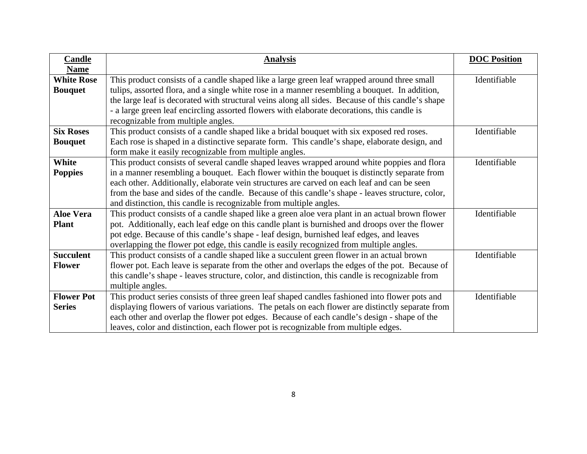| <b>Candle</b><br><b>Name</b>        | <b>Analysis</b>                                                                                                                                                                                                                                                                                                                                                                                                                                                       | <b>DOC</b> Position |
|-------------------------------------|-----------------------------------------------------------------------------------------------------------------------------------------------------------------------------------------------------------------------------------------------------------------------------------------------------------------------------------------------------------------------------------------------------------------------------------------------------------------------|---------------------|
| <b>White Rose</b><br><b>Bouquet</b> | This product consists of a candle shaped like a large green leaf wrapped around three small<br>tulips, assorted flora, and a single white rose in a manner resembling a bouquet. In addition,<br>the large leaf is decorated with structural veins along all sides. Because of this candle's shape<br>- a large green leaf encircling assorted flowers with elaborate decorations, this candle is<br>recognizable from multiple angles.                               | Identifiable        |
| <b>Six Roses</b><br><b>Bouquet</b>  | This product consists of a candle shaped like a bridal bouquet with six exposed red roses.<br>Each rose is shaped in a distinctive separate form. This candle's shape, elaborate design, and<br>form make it easily recognizable from multiple angles.                                                                                                                                                                                                                | Identifiable        |
| White<br><b>Poppies</b>             | This product consists of several candle shaped leaves wrapped around white poppies and flora<br>in a manner resembling a bouquet. Each flower within the bouquet is distinctly separate from<br>each other. Additionally, elaborate vein structures are carved on each leaf and can be seen<br>from the base and sides of the candle. Because of this candle's shape - leaves structure, color,<br>and distinction, this candle is recognizable from multiple angles. | Identifiable        |
| <b>Aloe Vera</b><br><b>Plant</b>    | This product consists of a candle shaped like a green aloe vera plant in an actual brown flower<br>pot. Additionally, each leaf edge on this candle plant is burnished and droops over the flower<br>pot edge. Because of this candle's shape - leaf design, burnished leaf edges, and leaves<br>overlapping the flower pot edge, this candle is easily recognized from multiple angles.                                                                              | Identifiable        |
| <b>Succulent</b><br><b>Flower</b>   | This product consists of a candle shaped like a succulent green flower in an actual brown<br>flower pot. Each leave is separate from the other and overlaps the edges of the pot. Because of<br>this candle's shape - leaves structure, color, and distinction, this candle is recognizable from<br>multiple angles.                                                                                                                                                  | Identifiable        |
| <b>Flower Pot</b><br><b>Series</b>  | This product series consists of three green leaf shaped candles fashioned into flower pots and<br>displaying flowers of various variations. The petals on each flower are distinctly separate from<br>each other and overlap the flower pot edges. Because of each candle's design - shape of the<br>leaves, color and distinction, each flower pot is recognizable from multiple edges.                                                                              | Identifiable        |